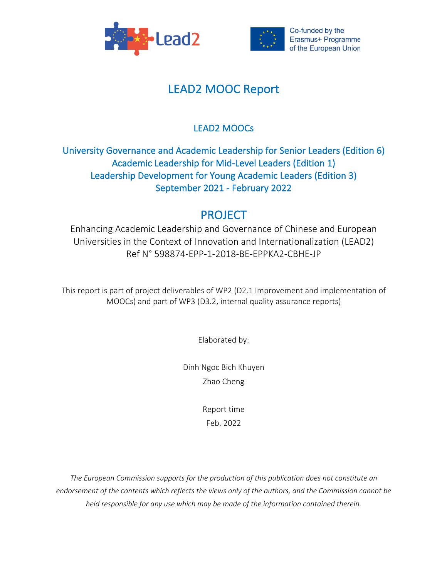



# LEAD2 MOOC Report

# LEAD2 MOOCs

# University Governance and Academic Leadership for Senior Leaders (Edition 6) Academic Leadership for Mid-Level Leaders (Edition 1) Leadership Development for Young Academic Leaders (Edition 3) September 2021 - February 2022

# PROJECT

Enhancing Academic Leadership and Governance of Chinese and European Universities in the Context of Innovation and Internationalization (LEAD2) Ref N° 598874-EPP-1-2018-BE-EPPKA2-CBHE-JP

This report is part of project deliverables of WP2 (D2.1 Improvement and implementation of MOOCs) and part of WP3 (D3.2, internal quality assurance reports)

Elaborated by:

Dinh Ngoc Bich Khuyen Zhao Cheng

> Report time Feb. 2022

*The European Commission supports for the production of this publication does not constitute an endorsement of the contents which reflects the views only of the authors, and the Commission cannot be held responsible for any use which may be made of the information contained therein.*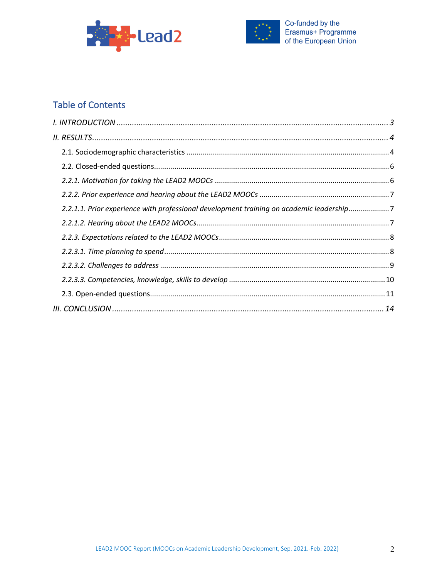



# **Table of Contents**

| 2.2.1.1. Prior experience with professional development training on academic leadership7 |  |
|------------------------------------------------------------------------------------------|--|
|                                                                                          |  |
|                                                                                          |  |
|                                                                                          |  |
|                                                                                          |  |
|                                                                                          |  |
|                                                                                          |  |
|                                                                                          |  |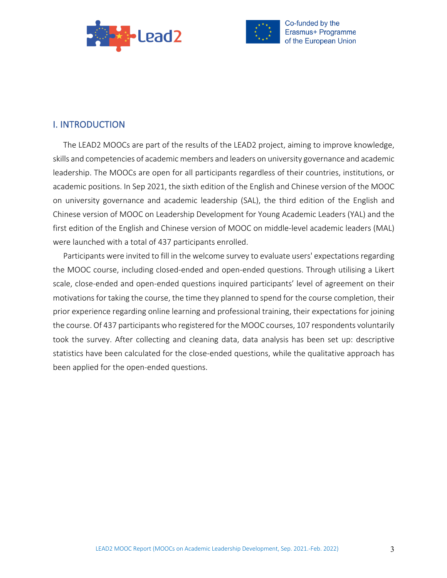



# I. INTRODUCTION

The LEAD2 MOOCs are part of the results of the LEAD2 project, aiming to improve knowledge, skills and competencies of academic members and leaders on university governance and academic leadership. The MOOCs are open for all participants regardless of their countries, institutions, or academic positions. In Sep 2021, the sixth edition of the English and Chinese version of the MOOC on university governance and academic leadership (SAL), the third edition of the English and Chinese version of MOOC on Leadership Development for Young Academic Leaders (YAL) and the first edition of the English and Chinese version of MOOC on middle-level academic leaders (MAL) were launched with a total of 437 participants enrolled.

Participants were invited to fill in the welcome survey to evaluate users' expectations regarding the MOOC course, including closed-ended and open-ended questions. Through utilising a Likert scale, close-ended and open-ended questions inquired participants' level of agreement on their motivations for taking the course, the time they planned to spend for the course completion, their prior experience regarding online learning and professional training, their expectations for joining the course. Of 437 participants who registered for the MOOC courses, 107 respondents voluntarily took the survey. After collecting and cleaning data, data analysis has been set up: descriptive statistics have been calculated for the close-ended questions, while the qualitative approach has been applied for the open-ended questions.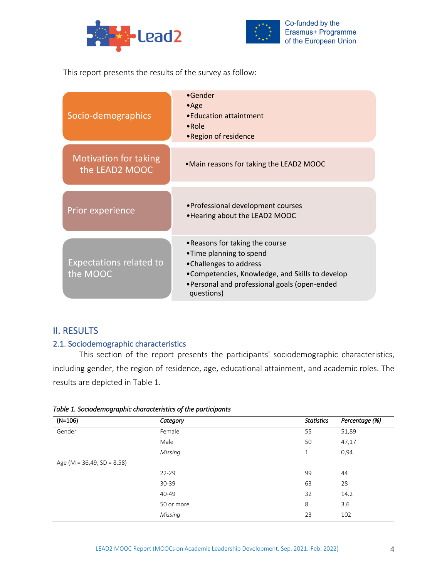



This report presents the results of the survey as follow:

| Socio-demographics                             | $\bullet$ Gender<br>$\bullet$ Age<br>• Education attaintment<br>$\bullet$ Role<br>•Region of residence                                                                                               |
|------------------------------------------------|------------------------------------------------------------------------------------------------------------------------------------------------------------------------------------------------------|
| <b>Motivation for taking</b><br>the LEAD2 MOOC | •Main reasons for taking the LEAD2 MOOC                                                                                                                                                              |
| Prior experience                               | • Professional development courses<br>• Hearing about the LEAD2 MOOC                                                                                                                                 |
| <b>Expectations related to</b><br>the MOOC     | •Reasons for taking the course<br>•Time planning to spend<br>•Challenges to address<br>•Competencies, Knowledge, and Skills to develop<br>•Personal and professional goals (open-ended<br>questions) |

# II. RESULTS

# 2.1. Sociodemographic characteristics

This section of the report presents the participants' sociodemographic characteristics, including gender, the region of residence, age, educational attainment, and academic roles. The results are depicted in Table 1.

| - -<br>$(N=106)$                 | . .<br>. .<br>Category | <b>Statistics</b> | Percentage (%) |
|----------------------------------|------------------------|-------------------|----------------|
| Gender                           | Female                 | 55                | 51,89          |
|                                  | Male                   | 50                | 47,17          |
|                                  | Missing                | $\mathbf{1}$      | 0,94           |
| Age (M = $36,49$ , SD = $8,58$ ) |                        |                   |                |
|                                  | $22 - 29$              | 99                | 44             |
|                                  | $30 - 39$              | 63                | 28             |
|                                  | 40-49                  | 32                | 14.2           |
|                                  | 50 or more             | 8                 | 3.6            |
|                                  | Missing                | 23                | 102            |

#### *Table 1. Sociodemographic characteristics of the participants*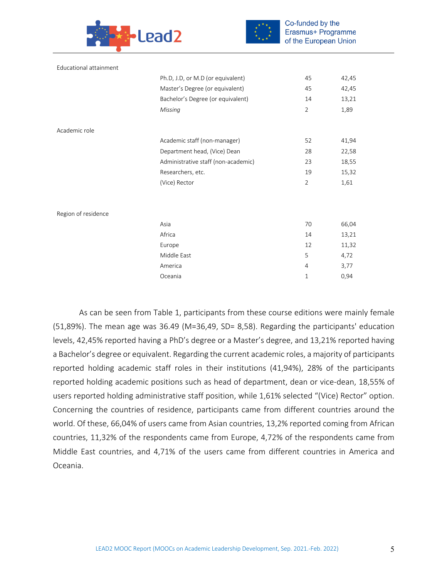



Co-funded by the Erasmus+ Programme of the European Union

| Educational attainment |                                     |                |       |
|------------------------|-------------------------------------|----------------|-------|
|                        | Ph.D, J.D, or M.D (or equivalent)   | 45             | 42,45 |
|                        | Master's Degree (or equivalent)     | 45             | 42,45 |
|                        | Bachelor's Degree (or equivalent)   | 14             | 13,21 |
|                        | Missing                             | $\overline{2}$ | 1,89  |
| Academic role          |                                     |                |       |
|                        | Academic staff (non-manager)        | 52             | 41,94 |
|                        | Department head, (Vice) Dean        | 28             | 22,58 |
|                        | Administrative staff (non-academic) | 23             | 18,55 |
|                        | Researchers, etc.                   | 19             | 15,32 |
|                        | (Vice) Rector                       | $\overline{2}$ | 1,61  |
|                        |                                     |                |       |
| Region of residence    |                                     |                |       |
|                        | Asia                                | 70             | 66,04 |
|                        | Africa                              | 14             | 13,21 |
|                        | Europe                              | 12             | 11,32 |
|                        | Middle East                         | 5              | 4,72  |
|                        | America                             | 4              | 3,77  |
|                        | Oceania                             | 1              | 0,94  |
|                        |                                     |                |       |

As can be seen from Table 1, participants from these course editions were mainly female (51,89%). The mean age was 36.49 (M=36,49, SD= 8,58). Regarding the participants' education levels, 42,45% reported having a PhD's degree or a Master's degree, and 13,21% reported having a Bachelor's degree or equivalent. Regarding the current academic roles, a majority of participants reported holding academic staff roles in their institutions (41,94%), 28% of the participants reported holding academic positions such as head of department, dean or vice-dean, 18,55% of users reported holding administrative staff position, while 1,61% selected "(Vice) Rector" option. Concerning the countries of residence, participants came from different countries around the world. Of these, 66,04% of users came from Asian countries, 13,2% reported coming from African countries, 11,32% of the respondents came from Europe, 4,72% of the respondents came from Middle East countries, and 4,71% of the users came from different countries in America and Oceania.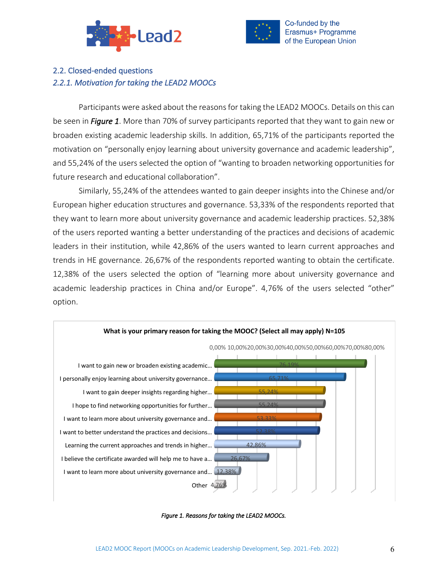



# 2.2. Closed-ended questions *2.2.1. Motivation for taking the LEAD2 MOOCs*

Participants were asked about the reasons for taking the LEAD2 MOOCs. Details on this can be seen in *Figure 1*. More than 70% of survey participants reported that they want to gain new or broaden existing academic leadership skills. In addition, 65,71% of the participants reported the motivation on "personally enjoy learning about university governance and academic leadership", and 55,24% of the users selected the option of "wanting to broaden networking opportunities for future research and educational collaboration".

Similarly, 55,24% of the attendees wanted to gain deeper insights into the Chinese and/or European higher education structures and governance. 53,33% of the respondents reported that they want to learn more about university governance and academic leadership practices. 52,38% of the users reported wanting a better understanding of the practices and decisions of academic leaders in their institution, while 42,86% of the users wanted to learn current approaches and trends in HE governance. 26,67% of the respondents reported wanting to obtain the certificate. 12,38% of the users selected the option of "learning more about university governance and academic leadership practices in China and/or Europe". 4,76% of the users selected "other" option.



*Figure 1. Reasons for taking the LEAD2 MOOCs.*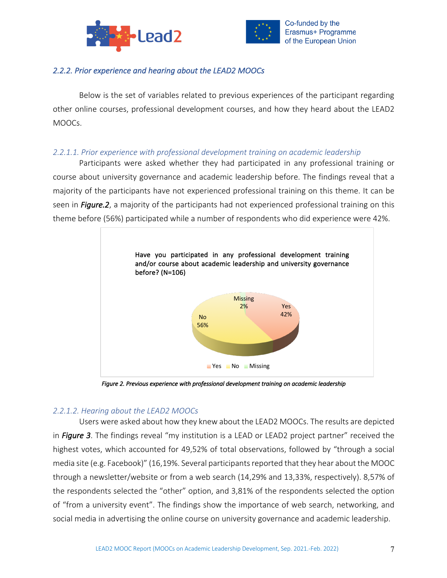



## *2.2.2. Prior experience and hearing about the LEAD2 MOOCs*

Below is the set of variables related to previous experiences of the participant regarding other online courses, professional development courses, and how they heard about the LEAD2 MOOCs.

### *2.2.1.1. Prior experience with professional development training on academic leadership*

Participants were asked whether they had participated in any professional training or course about university governance and academic leadership before. The findings reveal that a majority of the participants have not experienced professional training on this theme. It can be seen in *Figure.2*, a majority of the participants had not experienced professional training on this theme before (56%) participated while a number of respondents who did experience were 42%.



*Figure 2. Previous experience with professional development training on academic leadership* 

#### *2.2.1.2. Hearing about the LEAD2 MOOCs*

Users were asked about how they knew about the LEAD2 MOOCs. The results are depicted in *Figure 3*. The findings reveal "my institution is a LEAD or LEAD2 project partner" received the highest votes, which accounted for 49,52% of total observations, followed by "through a social media site (e.g. Facebook)" (16,19%. Several participants reported that they hear about the MOOC through a newsletter/website or from a web search (14,29% and 13,33%, respectively). 8,57% of the respondents selected the "other" option, and 3,81% of the respondents selected the option of "from a university event". The findings show the importance of web search, networking, and social media in advertising the online course on university governance and academic leadership.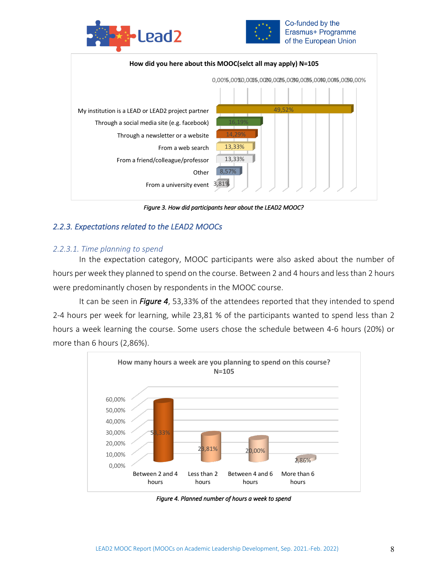



Co-funded by the Erasmus+ Programme of the European Union



*Figure 3. How did participants hear about the LEAD2 MOOC?* 

## *2.2.3. Expectations related to the LEAD2 MOOCs*

#### *2.2.3.1. Time planning to spend*

In the expectation category, MOOC participants were also asked about the number of hours per week they planned to spend on the course. Between 2 and 4 hours and less than 2 hours were predominantly chosen by respondents in the MOOC course.

It can be seen in *Figure 4*, 53,33% of the attendees reported that they intended to spend 2-4 hours per week for learning, while 23,81 % of the participants wanted to spend less than 2 hours a week learning the course. Some users chose the schedule between 4-6 hours (20%) or more than 6 hours (2,86%).



*Figure 4. Planned number of hours a week to spend*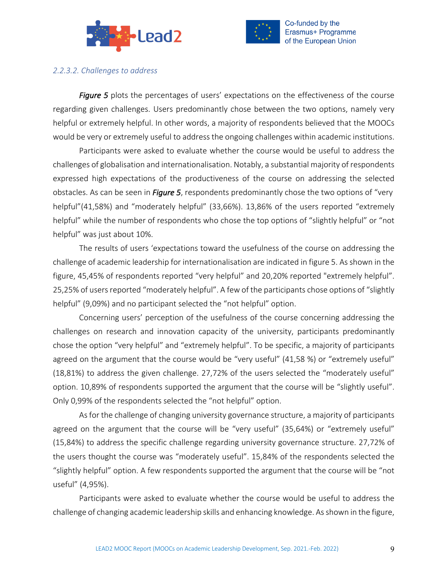



*2.2.3.2. Challenges to address*

*Figure 5* plots the percentages of users' expectations on the effectiveness of the course regarding given challenges. Users predominantly chose between the two options, namely very helpful or extremely helpful. In other words, a majority of respondents believed that the MOOCs would be very or extremely useful to address the ongoing challenges within academic institutions.

Participants were asked to evaluate whether the course would be useful to address the challenges of globalisation and internationalisation. Notably, a substantial majority of respondents expressed high expectations of the productiveness of the course on addressing the selected obstacles. As can be seen in *Figure 5*, respondents predominantly chose the two options of "very helpful"(41,58%) and "moderately helpful" (33,66%). 13,86% of the users reported "extremely helpful" while the number of respondents who chose the top options of "slightly helpful" or "not helpful" was just about 10%.

The results of users 'expectations toward the usefulness of the course on addressing the challenge of academic leadership for internationalisation are indicated in figure 5. As shown in the figure, 45,45% of respondents reported "very helpful" and 20,20% reported "extremely helpful". 25,25% of users reported "moderately helpful". A few of the participants chose options of "slightly helpful" (9,09%) and no participant selected the "not helpful" option.

Concerning users' perception of the usefulness of the course concerning addressing the challenges on research and innovation capacity of the university, participants predominantly chose the option "very helpful" and "extremely helpful". To be specific, a majority of participants agreed on the argument that the course would be "very useful" (41,58 %) or "extremely useful" (18,81%) to address the given challenge. 27,72% of the users selected the "moderately useful" option. 10,89% of respondents supported the argument that the course will be "slightly useful". Only 0,99% of the respondents selected the "not helpful" option.

As for the challenge of changing university governance structure, a majority of participants agreed on the argument that the course will be "very useful" (35,64%) or "extremely useful" (15,84%) to address the specific challenge regarding university governance structure. 27,72% of the users thought the course was "moderately useful". 15,84% of the respondents selected the "slightly helpful" option. A few respondents supported the argument that the course will be "not useful" (4,95%).

Participants were asked to evaluate whether the course would be useful to address the challenge of changing academic leadership skills and enhancing knowledge. As shown in the figure,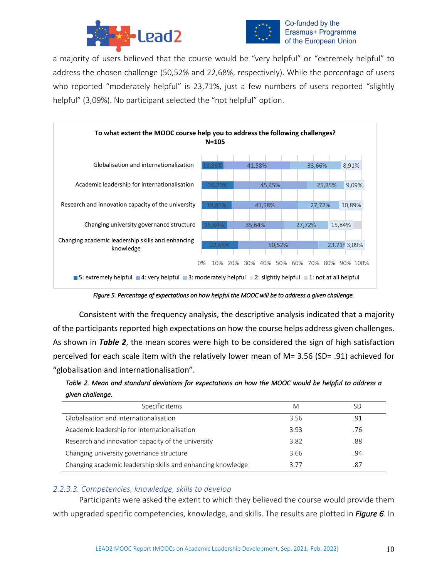



a majority of users believed that the course would be "very helpful" or "extremely helpful" to address the chosen challenge (50,52% and 22,68%, respectively). While the percentage of users who reported "moderately helpful" is 23,71%, just a few numbers of users reported "slightly helpful" (3,09%). No participant selected the "not helpful" option.



*Figure 5. Percentage of expectations on how helpful the MOOC will be to address a given challenge.* 

Consistent with the frequency analysis, the descriptive analysis indicated that a majority of the participants reported high expectations on how the course helps address given challenges. As shown in *Table 2*, the mean scores were high to be considered the sign of high satisfaction perceived for each scale item with the relatively lower mean of M= 3.56 (SD= .91) achieved for "globalisation and internationalisation".

*Table 2. Mean and standard deviations for expectations on how the MOOC would be helpful to address a given challenge.* 

| Specific items                                              | M    | SD  |
|-------------------------------------------------------------|------|-----|
| Globalisation and internationalisation                      | 3.56 | .91 |
| Academic leadership for internationalisation                | 3.93 | .76 |
| Research and innovation capacity of the university          | 3.82 | .88 |
| Changing university governance structure                    | 3.66 | .94 |
| Changing academic leadership skills and enhancing knowledge | 3.77 | .87 |

#### *2.2.3.3. Competencies, knowledge, skills to develop*

Participants were asked the extent to which they believed the course would provide them with upgraded specific competencies, knowledge, and skills. The results are plotted in *Figure 6*. In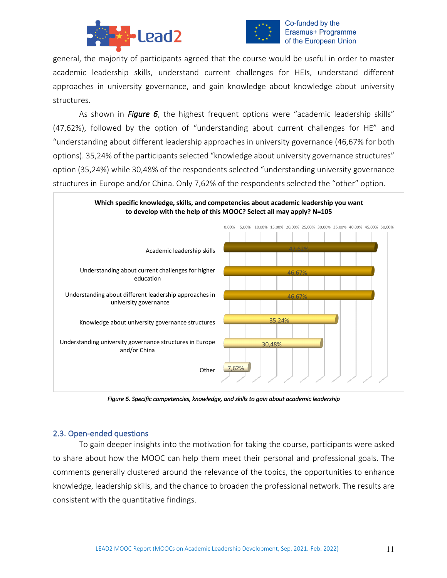



#### Co-funded by the Erasmus+ Programme of the European Union

general, the majority of participants agreed that the course would be useful in order to master academic leadership skills, understand current challenges for HEIs, understand different approaches in university governance, and gain knowledge about knowledge about university structures.

As shown in *Figure 6*, the highest frequent options were "academic leadership skills" (47,62%), followed by the option of "understanding about current challenges for HE" and "understanding about different leadership approaches in university governance (46,67% for both options). 35,24% of the participants selected "knowledge about university governance structures" option (35,24%) while 30,48% of the respondents selected "understanding university governance structures in Europe and/or China. Only 7,62% of the respondents selected the "other" option.



*Figure 6. Specific competencies, knowledge, and skills to gain about academic leadership* 

#### 2.3. Open-ended questions

To gain deeper insights into the motivation for taking the course, participants were asked to share about how the MOOC can help them meet their personal and professional goals. The comments generally clustered around the relevance of the topics, the opportunities to enhance knowledge, leadership skills, and the chance to broaden the professional network. The results are consistent with the quantitative findings.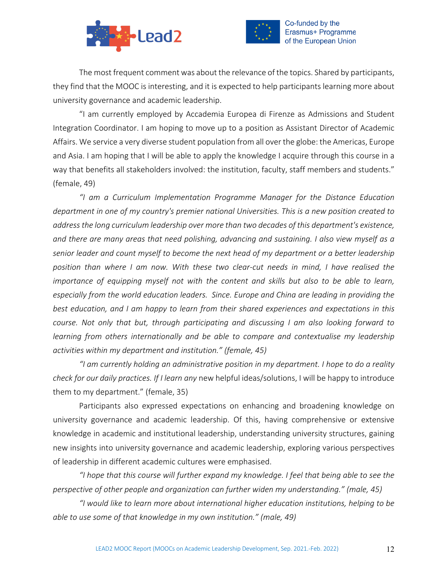



The most frequent comment was about the relevance of the topics. Shared by participants, they find that the MOOC is interesting, and it is expected to help participants learning more about university governance and academic leadership.

"I am currently employed by Accademia Europea di Firenze as Admissions and Student Integration Coordinator. I am hoping to move up to a position as Assistant Director of Academic Affairs. We service a very diverse student population from all over the globe: the Americas, Europe and Asia. I am hoping that I will be able to apply the knowledge I acquire through this course in a way that benefits all stakeholders involved: the institution, faculty, staff members and students." (female, 49)

*"I am a Curriculum Implementation Programme Manager for the Distance Education department in one of my country's premier national Universities. This is a new position created to address the long curriculum leadership over more than two decades of this department's existence, and there are many areas that need polishing, advancing and sustaining. I also view myself as a senior leader and count myself to become the next head of my department or a better leadership position than where I am now. With these two clear-cut needs in mind, I have realised the importance of equipping myself not with the content and skills but also to be able to learn, especially from the world education leaders. Since. Europe and China are leading in providing the best education, and I am happy to learn from their shared experiences and expectations in this course. Not only that but, through participating and discussing I am also looking forward to learning from others internationally and be able to compare and contextualise my leadership activities within my department and institution." (female, 45)*

*"I am currently holding an administrative position in my department. I hope to do a reality check for our daily practices. If I learn any* new helpful ideas/solutions, I will be happy to introduce them to my department." (female, 35)

Participants also expressed expectations on enhancing and broadening knowledge on university governance and academic leadership. Of this, having comprehensive or extensive knowledge in academic and institutional leadership, understanding university structures, gaining new insights into university governance and academic leadership, exploring various perspectives of leadership in different academic cultures were emphasised.

*"I hope that this course will further expand my knowledge. I feel that being able to see the perspective of other people and organization can further widen my understanding." (male, 45)*

*"I would like to learn more about international higher education institutions, helping to be able to use some of that knowledge in my own institution." (male, 49)*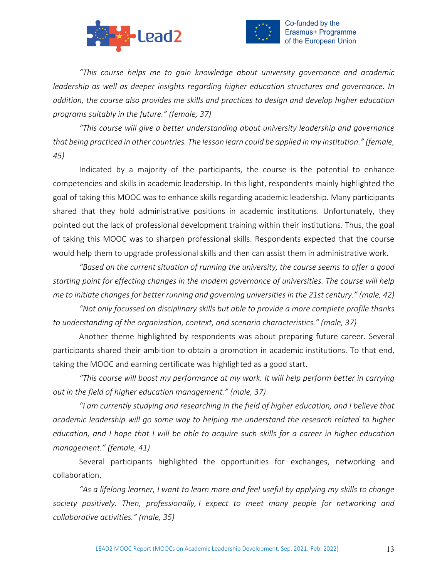



*"This course helps me to gain knowledge about university governance and academic leadership as well as deeper insights regarding higher education structures and governance. In addition, the course also provides me skills and practices to design and develop higher education programs suitably in the future." (female, 37)*

*"This course will give a better understanding about university leadership and governance that being practiced in other countries. The lesson learn could be applied in my institution." (female, 45)*

Indicated by a majority of the participants, the course is the potential to enhance competencies and skills in academic leadership. In this light, respondents mainly highlighted the goal of taking this MOOC was to enhance skills regarding academic leadership. Many participants shared that they hold administrative positions in academic institutions. Unfortunately, they pointed out the lack of professional development training within their institutions. Thus, the goal of taking this MOOC was to sharpen professional skills. Respondents expected that the course would help them to upgrade professional skills and then can assist them in administrative work.

*"Based on the current situation of running the university, the course seems to offer a good starting point for effecting changes in the modern governance of universities. The course will help me to initiate changes for better running and governing universities in the 21st century." (male, 42)*

*"Not only focussed on disciplinary skills but able to provide a more complete profile thanks to understanding of the organization, context, and scenario characteristics." (male, 37)*

Another theme highlighted by respondents was about preparing future career. Several participants shared their ambition to obtain a promotion in academic institutions. To that end, taking the MOOC and earning certificate was highlighted as a good start.

*"This course will boost my performance at my work. It will help perform better in carrying out in the field of higher education management." (male, 37)*

*"I am currently studying and researching in the field of higher education, and I believe that academic leadership will go some way to helping me understand the research related to higher education, and I hope that I will be able to acquire such skills for a career in higher education management." (female, 41)*

Several participants highlighted the opportunities for exchanges, networking and collaboration.

*"As a lifelong learner, I want to learn more and feel useful by applying my skills to change society positively. Then, professionally, I expect to meet many people for networking and collaborative activities." (male, 35)*